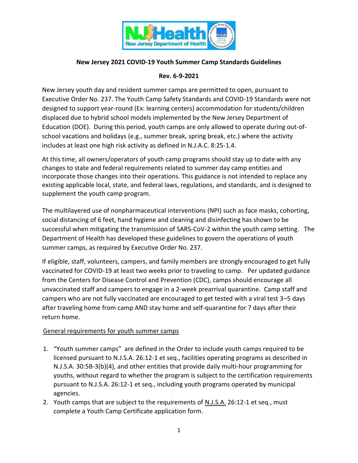

### **New Jersey 2021 COVID-19 Youth Summer Camp Standards Guidelines**

## **Rev. 6-9-2021**

New Jersey youth day and resident summer camps are permitted to open, pursuant to Executive Order No. 237. The Youth Camp Safety Standards and COVID-19 Standards were not designed to support year-round (Ex: learning centers) accommodation for students/children displaced due to hybrid school models implemented by the New Jersey Department of Education (DOE). During this period, youth camps are only allowed to operate during out-ofschool vacations and holidays (e.g., summer break, spring break, etc.) where the activity includes at least one high risk activity as defined in N.J.A.C. 8:25-1.4.

At this time, all owners/operators of youth camp programs should stay up to date with any changes to state and federal requirements related to summer day camp entities and incorporate those changes into their operations. This guidance is not intended to replace any existing applicable local, state, and federal laws, regulations, and standards, and is designed to supplement the youth camp program.

The multilayered use of nonpharmaceutical interventions (NPI) such as face masks, cohorting, social distancing of 6 feet, hand hygiene and cleaning and disinfecting has shown to be successful when mitigating the transmission of SARS-CoV-2 within the youth camp setting. The Department of Health has developed these guidelines to govern the operations of youth summer camps, as required by Executive Order No. 237.

If eligible, staff, volunteers, campers, and family members are strongly encouraged to get fully vaccinated for COVID-19 at least two weeks prior to traveling to camp. Per updated guidance from the Centers for Disease Control and Prevention (CDC), camps should encourage all unvaccinated staff and campers to engage in a 2-week prearrival quarantine. Camp staff and campers who are not fully vaccinated are encouraged to get tested with a viral test 3–5 days after traveling home from camp AND stay home and self-quarantine for 7 days after their return home.

#### General requirements for youth summer camps

- 1. "Youth summer camps" are defined in the Order to include youth camps required to be licensed pursuant to N.J.S.A. 26:12-1 et seq., facilities operating programs as described in N.J.S.A. 30:5B-3(b)(4), and other entities that provide daily multi-hour programming for youths, without regard to whether the program is subject to the certification requirements pursuant to N.J.S.A. 26:12-1 et seq., including youth programs operated by municipal agencies.
- 2. Youth camps that are subject to the requirements of N.J.S.A. 26:12-1 et seq., must complete a Youth Camp Certificate application form.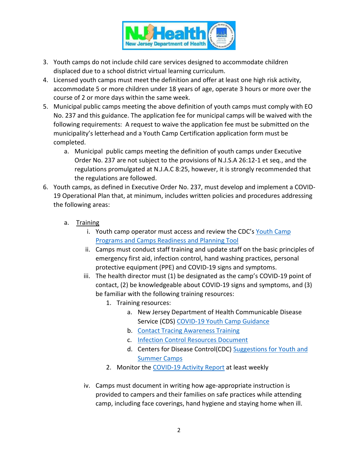

- 3. Youth camps do not include child care services designed to accommodate children displaced due to a school district virtual learning curriculum.
- 4. Licensed youth camps must meet the definition and offer at least one high risk activity, accommodate 5 or more children under 18 years of age, operate 3 hours or more over the course of 2 or more days within the same week.
- 5. Municipal public camps meeting the above definition of youth camps must comply with EO No. 237 and this guidance. The application fee for municipal camps will be waived with the following requirements: A request to waive the application fee must be submitted on the municipality's letterhead and a Youth Camp Certification application form must be completed.
	- a. Municipal public camps meeting the definition of youth camps under Executive Order No. 237 are not subject to the provisions of N.J.S.A 26:12-1 et seq., and the regulations promulgated at N.J.A.C 8:25, however, it is strongly recommended that the regulations are followed.
- 6. Youth camps, as defined in Executive Order No. 237, must develop and implement a COVID-19 Operational Plan that, at minimum, includes written policies and procedures addressing the following areas:
	- a. Training
		- i. Youth camp operator must access and review the CDC's [Youth Camp](https://www.cdc.gov/coronavirus/2019-ncov/downloads/camp-planning-tool.pdf)  [Programs and Camps Readiness and Planning Tool](https://www.cdc.gov/coronavirus/2019-ncov/downloads/camp-planning-tool.pdf)
		- ii. Camps must conduct staff training and update staff on the basic principles of emergency first aid, infection control, hand washing practices, personal protective equipment (PPE) and COVID-19 signs and symptoms.
		- iii. The health director must (1) be designated as the camp's COVID-19 point of contact, (2) be knowledgeable about COVID-19 signs and symptoms, and (3) be familiar with the following training resources:
			- 1. Training resources:
				- a. New Jersey Department of Health Communicable Disease Service (CDS) [COVID-19 Youth Camp Guidance](https://www.state.nj.us/health/cd/documents/topics/NCOV/COVID_Reopening_Camps.pdf)
				- b. [Contact Tracing Awareness Training](https://www.coursera.org/promo/covid-19-contact-tracing)
				- c. [Infection Control Resources Document](https://www.state.nj.us/health/cd/documents/topics/NCOV/COVID19_Infection_Prevention_and_Control_Resources.pdf)
				- d. Centers for Disease Control(CDC) [Suggestions for Youth and](https://www.cdc.gov/coronavirus/2019-ncov/community/schools-childcare/summer-camps.html)  [Summer Camps](https://www.cdc.gov/coronavirus/2019-ncov/community/schools-childcare/summer-camps.html)
			- 2. Monitor the [COVID-19 Activity Report](https://www.nj.gov/health/cd/statistics/covid/) at least weekly
		- iv. Camps must document in writing how age-appropriate instruction is provided to campers and their families on safe practices while attending camp, including face coverings, hand hygiene and staying home when ill.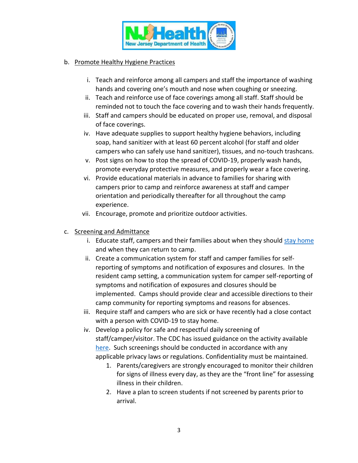

### b. Promote Healthy Hygiene Practices

- i. Teach and reinforce among all campers and staff the importance of washing hands and covering one's mouth and nose when coughing or sneezing.
- ii. Teach and reinforce use of face coverings among all staff. Staff should be reminded not to touch the face covering and to wash their hands frequently.
- iii. Staff and campers should be educated on proper use, removal, and disposal of face coverings.
- iv. Have adequate supplies to support healthy hygiene behaviors, including soap, hand sanitizer with at least 60 percent alcohol (for staff and older campers who can safely use hand sanitizer), tissues, and no-touch trashcans.
- v. Post signs on how to stop the spread of COVID-19, properly wash hands, promote everyday protective measures, and properly wear a face covering.
- vi. Provide educational materials in advance to families for sharing with campers prior to camp and reinforce awareness at staff and camper orientation and periodically thereafter for all throughout the camp experience.
- vii. Encourage, promote and prioritize outdoor activities.
- c. Screening and Admittance
	- i. Educate staff, campers and their families about when they should [stay home](https://www.cdc.gov/coronavirus/2019-ncov/if-you-are-sick/quarantine.html) and when they can return to camp.
	- ii. Create a communication system for staff and camper families for selfreporting of symptoms and notification of exposures and closures. In the resident camp setting, a communication system for camper self-reporting of symptoms and notification of exposures and closures should be implemented. Camps should provide clear and accessible directions to their camp community for reporting symptoms and reasons for absences.
	- iii. Require staff and campers who are sick or have recently had a close contact with a person with COVID-19 to stay home.
	- iv. Develop a policy for safe and respectful daily screening of staff/camper/visitor. The CDC has issued guidance on the activity available [here.](https://www.cdc.gov/coronavirus/2019-ncov/community/schools-childcare/guidance-for-childcare.html) Such screenings should be conducted in accordance with any applicable privacy laws or regulations. Confidentiality must be maintained.
		- 1. Parents/caregivers are strongly encouraged to monitor their children for signs of illness every day, as they are the "front line" for assessing illness in their children.
		- 2. Have a plan to screen students if not screened by parents prior to arrival.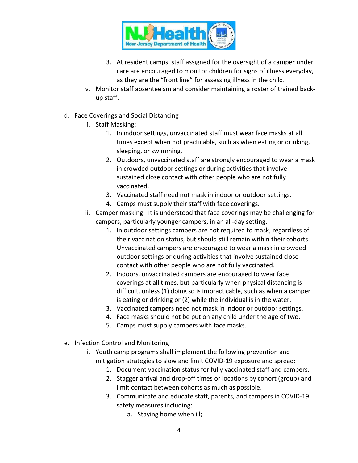

- 3. At resident camps, staff assigned for the oversight of a camper under care are encouraged to monitor children for signs of illness everyday, as they are the "front line" for assessing illness in the child.
- v. Monitor staff absenteeism and consider maintaining a roster of trained backup staff.

#### d. Face Coverings and Social Distancing

- i. Staff Masking:
	- 1. In indoor settings, unvaccinated staff must wear face masks at all times except when not practicable, such as when eating or drinking, sleeping, or swimming.
	- 2. Outdoors, unvaccinated staff are strongly encouraged to wear a mask in crowded outdoor settings or during activities that involve sustained close contact with other people who are not fully vaccinated.
	- 3. Vaccinated staff need not mask in indoor or outdoor settings.
	- 4. Camps must supply their staff with face coverings.
- ii. Camper masking: It is understood that face coverings may be challenging for campers, particularly younger campers, in an all-day setting.
	- 1. In outdoor settings campers are not required to mask, regardless of their vaccination status, but should still remain within their cohorts. Unvaccinated campers are encouraged to wear a mask in crowded outdoor settings or during activities that involve sustained close contact with other people who are not fully vaccinated.
	- 2. Indoors, unvaccinated campers are encouraged to wear face coverings at all times, but particularly when physical distancing is difficult, unless (1) doing so is impracticable, such as when a camper is eating or drinking or (2) while the individual is in the water.
	- 3. Vaccinated campers need not mask in indoor or outdoor settings.
	- 4. Face masks should not be put on any child under the age of two.
	- 5. Camps must supply campers with face masks.
- e. Infection Control and Monitoring
	- i. Youth camp programs shall implement the following prevention and mitigation strategies to slow and limit COVID-19 exposure and spread:
		- 1. Document vaccination status for fully vaccinated staff and campers.
		- 2. Stagger arrival and drop-off times or locations by cohort (group) and limit contact between cohorts as much as possible.
		- 3. Communicate and educate staff, parents, and campers in COVID-19 safety measures including:
			- a. Staying home when ill;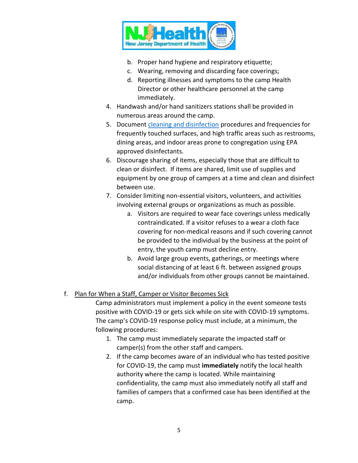

- b. Proper hand hygiene and respiratory etiquette;
- c. Wearing, removing and discarding face coverings;
- d. Reporting illnesses and symptoms to the camp Health Director or other healthcare personnel at the camp immediately.
- 4. Handwash and/or hand sanitizers stations shall be provided in numerous areas around the camp.
- 5. Document [cleaning and disinfection](https://www.cdc.gov/coronavirus/2019-ncov/community/clean-disinfect/index.html) procedures and frequencies for frequently touched surfaces, and high traffic areas such as restrooms, dining areas, and indoor areas prone to congregation using EPA approved disinfectants.
- 6. Discourage sharing of items, especially those that are difficult to clean or disinfect. If items are shared, limit use of supplies and equipment by one group of campers at a time and clean and disinfect between use.
- 7. Consider limiting non-essential visitors, volunteers, and activities involving external groups or organizations as much as possible.
	- a. Visitors are required to wear face coverings unless medically contraindicated. If a visitor refuses to a wear a cloth face covering for non-medical reasons and if such covering cannot be provided to the individual by the business at the point of entry, the youth camp must decline entry.
	- b. Avoid large group events, gatherings, or meetings where social distancing of at least 6 ft. between assigned groups and/or individuals from other groups cannot be maintained.

# f. Plan for When a Staff, Camper or Visitor Becomes Sick

Camp administrators must implement a policy in the event someone tests positive with COVID-19 or gets sick while on site with COVID-19 symptoms. The camp's COVID-19 response policy must include, at a minimum, the following procedures:

- 1. The camp must immediately separate the impacted staff or camper(s) from the other staff and campers.
- 2. If the camp becomes aware of an individual who has tested positive for COVID-19, the camp must **immediately** notify the local health authority where the camp is located. While maintaining confidentiality, the camp must also immediately notify all staff and families of campers that a confirmed case has been identified at the camp.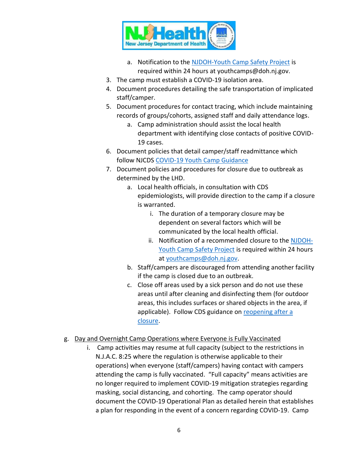

- a. Notification to the [NJDOH-Youth Camp Safety Project](mailto:youthcamps@doh.nj.gov?subject=Confirmed%20Positive%20at%20Camp) is required within 24 hours at youthcamps@doh.nj.gov.
- 3. The camp must establish a COVID-19 isolation area.
- 4. Document procedures detailing the safe transportation of implicated staff/camper.
- 5. Document procedures for contact tracing, which include maintaining records of groups/cohorts, assigned staff and daily attendance logs.
	- a. Camp administration should assist the local health department with identifying close contacts of positive COVID-19 cases.
- 6. Document policies that detail camper/staff readmittance which follow NJCDS [COVID-19 Youth Camp Guidance](https://www.state.nj.us/health/cd/documents/topics/NCOV/COVID_Reopening_Camps.pdf)
- 7. Document policies and procedures for closure due to outbreak as determined by the LHD.
	- a. Local health officials, in consultation with CDS epidemiologists, will provide direction to the camp if a closure is warranted.
		- i. The duration of a temporary closure may be dependent on several factors which will be communicated by the local health official.
		- ii. Notification of a recommended closure to the [NJDOH-](mailto:youthcamps@doh.nj.gov?subject=Confirmed%20Positive%20at%20Camp)[Youth Camp Safety Project](mailto:youthcamps@doh.nj.gov?subject=Confirmed%20Positive%20at%20Camp) is required within 24 hours at [youthcamps@doh.nj.gov.](mailto:youthcamps@doh.nj.gov?subject=Recommended%20Closure%20of%20Youth%20Camp)
	- b. Staff/campers are discouraged from attending another facility if the camp is closed due to an outbreak.
	- c. Close off areas used by a sick person and do not use these areas until after cleaning and disinfecting them (for outdoor areas, this includes surfaces or shared objects in the area, if applicable). Follow CDS guidance on [reopening after a](https://www.state.nj.us/health/cd/documents/topics/NCOV/COVID_guidance_reopening_childcare.pdf)  [closure.](https://www.state.nj.us/health/cd/documents/topics/NCOV/COVID_guidance_reopening_childcare.pdf)
- g. Day and Overnight Camp Operations where Everyone is Fully Vaccinated
	- i. Camp activities may resume at full capacity (subject to the restrictions in N.J.A.C. 8:25 where the regulation is otherwise applicable to their operations) when everyone (staff/campers) having contact with campers attending the camp is fully vaccinated. "Full capacity" means activities are no longer required to implement COVID-19 mitigation strategies regarding masking, social distancing, and cohorting. The camp operator should document the COVID-19 Operational Plan as detailed herein that establishes a plan for responding in the event of a concern regarding COVID-19. Camp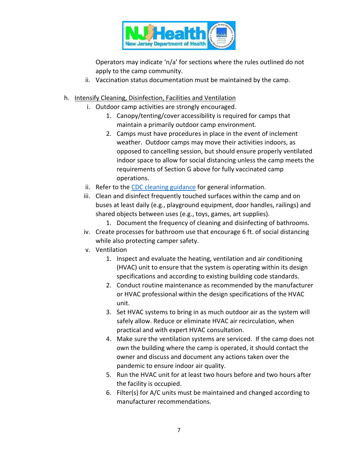

Operators may indicate 'n/a' for sections where the rules outlined do not apply to the camp community.

- ii. Vaccination status documentation must be maintained by the camp.
- h. Intensify Cleaning, Disinfection, Facilities and Ventilation
	- i. Outdoor camp activities are strongly encouraged.
		- 1. Canopy/tenting/cover accessibility is required for camps that maintain a primarily outdoor camp environment.
		- 2. Camps must have procedures in place in the event of inclement weather. Outdoor camps may move their activities indoors, as opposed to cancelling session, but should ensure properly ventilated indoor space to allow for social distancing unless the camp meets the requirements of Section G above for fully vaccinated camp operations.
	- ii. Refer to the [CDC cleaning guidance](https://www.cdc.gov/coronavirus/2019-ncov/community/disinfecting-building-facility.html) for general information.
	- iii. Clean and disinfect frequently touched surfaces within the camp and on buses at least daily (e.g., playground equipment, door handles, railings) and shared objects between uses (e.g., toys, games, art supplies).
		- 1. Document the frequency of cleaning and disinfecting of bathrooms.
	- iv. Create processes for bathroom use that encourage 6 ft. of social distancing while also protecting camper safety.
	- v. Ventilation
		- 1. Inspect and evaluate the heating, ventilation and air conditioning (HVAC) unit to ensure that the system is operating within its design specifications and according to existing building code standards.
		- 2. Conduct routine maintenance as recommended by the manufacturer or HVAC professional within the design specifications of the HVAC unit.
		- 3. Set HVAC systems to bring in as much outdoor air as the system will safely allow. Reduce or eliminate HVAC air recirculation, when practical and with expert HVAC consultation.
		- 4. Make sure the ventilation systems are serviced. If the camp does not own the building where the camp is operated, it should contact the owner and discuss and document any actions taken over the pandemic to ensure indoor air quality.
		- 5. Run the HVAC unit for at least two hours before and two hours after the facility is occupied.
		- 6. Filter(s) for A/C units must be maintained and changed according to manufacturer recommendations.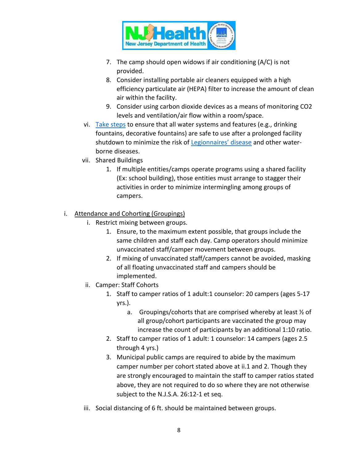

- 7. The camp should open widows if air conditioning (A/C) is not provided.
- 8. Consider installing portable air cleaners equipped with a high efficiency particulate air (HEPA) filter to increase the amount of clean air within the facility.
- 9. Consider using carbon dioxide devices as a means of monitoring CO2 levels and ventilation/air flow within a room/space.
- vi. [Take steps](https://www.cdc.gov/coronavirus/2019-ncov/php/building-water-system.html) to ensure that all water systems and features (e.g., drinking fountains, decorative fountains) are safe to use after a prolonged facility shutdown to minimize the risk of [Legionnaires' disease](https://www.cdc.gov/legionella/wmp/index.html) and other waterborne diseases.
- vii. Shared Buildings
	- 1. If multiple entities/camps operate programs using a shared facility (Ex: school building), those entities must arrange to stagger their activities in order to minimize intermingling among groups of campers.

## i. Attendance and Cohorting (Groupings)

- i. Restrict mixing between groups.
	- 1. Ensure, to the maximum extent possible, that groups include the same children and staff each day. Camp operators should minimize unvaccinated staff/camper movement between groups.
	- 2. If mixing of unvaccinated staff/campers cannot be avoided, masking of all floating unvaccinated staff and campers should be implemented.
- ii. Camper: Staff Cohorts
	- 1. Staff to camper ratios of 1 adult:1 counselor: 20 campers (ages 5-17 yrs.).
		- a. Groupings/cohorts that are comprised whereby at least  $\frac{1}{2}$  of all group/cohort participants are vaccinated the group may increase the count of participants by an additional 1:10 ratio.
	- 2. Staff to camper ratios of 1 adult: 1 counselor: 14 campers (ages 2.5 through 4 yrs.)
	- 3. Municipal public camps are required to abide by the maximum camper number per cohort stated above at ii.1 and 2. Though they are strongly encouraged to maintain the staff to camper ratios stated above, they are not required to do so where they are not otherwise subject to the N.J.S.A. 26:12-1 et seq.
- iii. Social distancing of 6 ft. should be maintained between groups.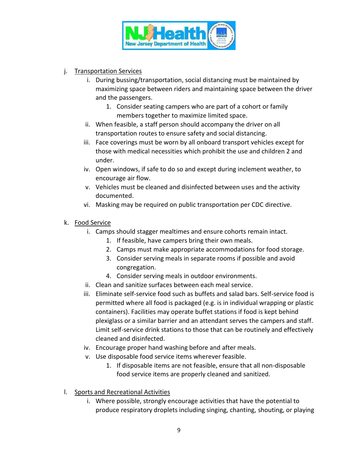

- j. Transportation Services
	- i. During bussing/transportation, social distancing must be maintained by maximizing space between riders and maintaining space between the driver and the passengers.
		- 1. Consider seating campers who are part of a cohort or family members together to maximize limited space.
	- ii. When feasible, a staff person should accompany the driver on all transportation routes to ensure safety and social distancing.
	- iii. Face coverings must be worn by all onboard transport vehicles except for those with medical necessities which prohibit the use and children 2 and under.
	- iv. Open windows, if safe to do so and except during inclement weather, to encourage air flow.
	- v. Vehicles must be cleaned and disinfected between uses and the activity documented.
	- vi. Masking may be required on public transportation per CDC directive.
- k. Food Service
	- i. Camps should stagger mealtimes and ensure cohorts remain intact.
		- 1. If feasible, have campers bring their own meals.
		- 2. Camps must make appropriate accommodations for food storage.
		- 3. Consider serving meals in separate rooms if possible and avoid congregation.
		- 4. Consider serving meals in outdoor environments.
	- ii. Clean and sanitize surfaces between each meal service.
	- iii. Eliminate self-service food such as buffets and salad bars. Self-service food is permitted where all food is packaged (e.g. is in individual wrapping or plastic containers). Facilities may operate buffet stations if food is kept behind plexiglass or a similar barrier and an attendant serves the campers and staff. Limit self-service drink stations to those that can be routinely and effectively cleaned and disinfected.
	- iv. Encourage proper hand washing before and after meals.
	- v. Use disposable food service items wherever feasible.
		- 1. If disposable items are not feasible, ensure that all non-disposable food service items are properly cleaned and sanitized.
- l. Sports and Recreational Activities
	- i. Where possible, strongly encourage activities that have the potential to produce respiratory droplets including singing, chanting, shouting, or playing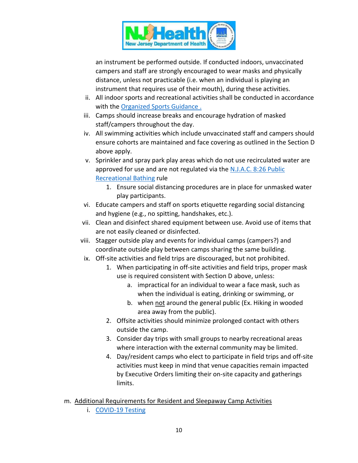

an instrument be performed outside. If conducted indoors, unvaccinated campers and staff are strongly encouraged to wear masks and physically distance, unless not practicable (i.e. when an individual is playing an instrument that requires use of their mouth), during these activities.

- ii. All indoor sports and recreational activities shall be conducted in accordance with the [Organized Sports](https://nj.gov/health/cd/documents/topics/NCOV/COVID_GuidanceForSportsActivities.pdf) Guidance.
- iii. Camps should increase breaks and encourage hydration of masked staff/campers throughout the day.
- iv. All swimming activities which include unvaccinated staff and campers should ensure cohorts are maintained and face covering as outlined in the Section D above apply.
- v. Sprinkler and spray park play areas which do not use recirculated water are approved for use and are not regulated via th[e N.J.A.C. 8:26 Public](https://nj.gov/health/ceohs/documents/phss/recbathing.pdf)  [Recreational Bathing](https://nj.gov/health/ceohs/documents/phss/recbathing.pdf) rule
	- 1. Ensure social distancing procedures are in place for unmasked water play participants.
- vi. Educate campers and staff on sports etiquette regarding social distancing and hygiene (e.g., no spitting, handshakes, etc.).
- vii. Clean and disinfect shared equipment between use. Avoid use of items that are not easily cleaned or disinfected.
- viii. Stagger outside play and events for individual camps (campers?) and coordinate outside play between camps sharing the same building.
- ix. Off-site activities and field trips are discouraged, but not prohibited.
	- 1. When participating in off-site activities and field trips, proper mask use is required consistent with Section D above, unless:
		- a. impractical for an individual to wear a face mask, such as when the individual is eating, drinking or swimming, or
		- b. when not around the general public (Ex. Hiking in wooded area away from the public).
	- 2. Offsite activities should minimize prolonged contact with others outside the camp.
	- 3. Consider day trips with small groups to nearby recreational areas where interaction with the external community may be limited.
	- 4. Day/resident camps who elect to participate in field trips and off-site activities must keep in mind that venue capacities remain impacted by Executive Orders limiting their on-site capacity and gatherings limits.
- m. Additional Requirements for Resident and Sleepaway Camp Activities
	- i. [COVID-19 Testing](https://www.state.nj.us/health/cd/documents/topics/NCOV/Guidance%20Fully%20Vaccinated.pdf)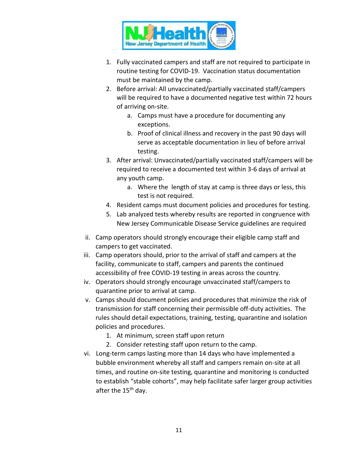

- 1. Fully vaccinated campers and staff are not required to participate in routine testing for COVID-19. Vaccination status documentation must be maintained by the camp.
- 2. Before arrival: All unvaccinated/partially vaccinated staff/campers will be required to have a documented negative test within 72 hours of arriving on-site.
	- a. Camps must have a procedure for documenting any exceptions.
	- b. Proof of clinical illness and recovery in the past 90 days will serve as acceptable documentation in lieu of before arrival testing.
- 3. After arrival: Unvaccinated/partially vaccinated staff/campers will be required to receive a documented test within 3-6 days of arrival at any youth camp.
	- a. Where the length of stay at camp is three days or less, this test is not required.
- 4. Resident camps must document policies and procedures for testing.
- 5. Lab analyzed tests whereby results are reported in congruence with New Jersey Communicable Disease Service guidelines are required
- ii. Camp operators should strongly encourage their eligible camp staff and campers to get vaccinated.
- iii. Camp operators should, prior to the arrival of staff and campers at the facility, communicate to staff, campers and parents the continued accessibility of free COVID-19 testing in areas across the country.
- iv. Operators should strongly encourage unvaccinated staff/campers to quarantine prior to arrival at camp.
- v. Camps should document policies and procedures that minimize the risk of transmission for staff concerning their permissible off-duty activities. The rules should detail expectations, training, testing, quarantine and isolation policies and procedures.
	- 1. At minimum, screen staff upon return
	- 2. Consider retesting staff upon return to the camp.
- vi. Long-term camps lasting more than 14 days who have implemented a bubble environment whereby all staff and campers remain on-site at all times, and routine on-site testing, quarantine and monitoring is conducted to establish "stable cohorts", may help facilitate safer larger group activities after the 15<sup>th</sup> day.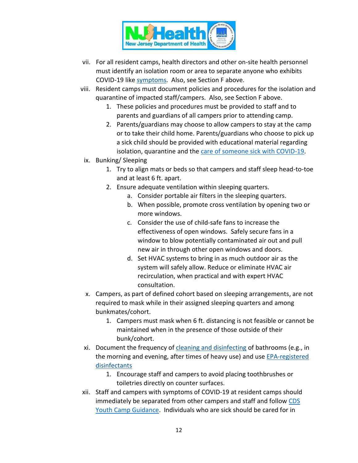

- vii. For all resident camps, health directors and other on-site health personnel must identify an isolation room or area to separate anyone who exhibits COVID-19 like [symptoms.](https://www.cdc.gov/coronavirus/2019-ncov/communication/print-resources.html?Sort=Date%3A%3Adesc) Also, see Section F above.
- viii. Resident camps must document policies and procedures for the isolation and quarantine of impacted staff/campers. Also, see Section F above.
	- 1. These policies and procedures must be provided to staff and to parents and guardians of all campers prior to attending camp.
	- 2. Parents/guardians may choose to allow campers to stay at the camp or to take their child home. Parents/guardians who choose to pick up a sick child should be provided with educational material regarding isolation, quarantine and the [care of someone sick with COVID-19.](https://www.cdc.gov/coronavirus/2019-ncov/if-you-are-sick/care-for-someone.html)
- ix. Bunking/ Sleeping
	- 1. Try to align mats or beds so that campers and staff sleep head-to-toe and at least 6 ft. apart.
	- 2. Ensure adequate ventilation within sleeping quarters.
		- a. Consider portable air filters in the sleeping quarters.
		- b. When possible, promote cross ventilation by opening two or more windows.
		- c. Consider the use of child-safe fans to increase the effectiveness of open windows. Safely secure fans in a window to blow potentially contaminated air out and pull new air in through other open windows and doors.
		- d. Set HVAC systems to bring in as much outdoor air as the system will safely allow. Reduce or eliminate HVAC air recirculation, when practical and with expert HVAC consultation.
- x. Campers, as part of defined cohort based on sleeping arrangements, are not required to mask while in their assigned sleeping quarters and among bunkmates/cohort.
	- 1. Campers must mask when 6 ft. distancing is not feasible or cannot be maintained when in the presence of those outside of their bunk/cohort.
- xi. Document the frequency of [cleaning and disinfecting](https://www.cdc.gov/coronavirus/2019-ncov/community/reopen-guidance.html) of bathrooms (e.g., in the morning and evening, after times of heavy use) and use EPA-registered [disinfectants](https://www.epa.gov/pesticide-registration/list-n-disinfectants-use-against-sars-cov-2)
	- 1. Encourage staff and campers to avoid placing toothbrushes or toiletries directly on counter surfaces.
- xii. Staff and campers with symptoms of COVID-19 at resident camps should immediately be separated from other campers and staff and follow [CDS](https://sonj-my.sharepoint.com/personal/danielle_clemons_doh_nj_gov/Documents/DClemons/2019%20reconfiguration%20folder/Youth%20Camp/COVID-19%20Emergency%20Response/COVID%20Youth%20Camp%20Guidance)  [Youth Camp Guidance.](https://sonj-my.sharepoint.com/personal/danielle_clemons_doh_nj_gov/Documents/DClemons/2019%20reconfiguration%20folder/Youth%20Camp/COVID-19%20Emergency%20Response/COVID%20Youth%20Camp%20Guidance) Individuals who are sick should be cared for in